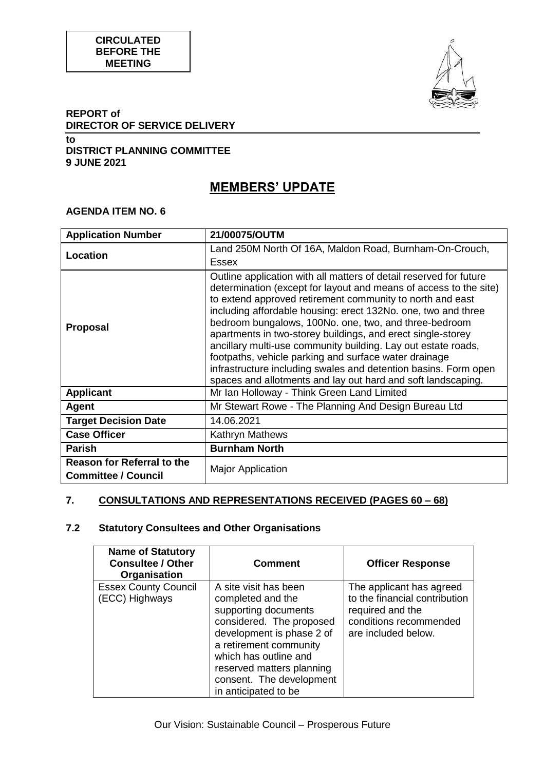

### **REPORT of DIRECTOR OF SERVICE DELIVERY**

**to DISTRICT PLANNING COMMITTEE 9 JUNE 2021**

# **MEMBERS' UPDATE**

#### **AGENDA ITEM NO. 6**

| <b>Application Number</b>                                       | 21/00075/OUTM                                                                                                                                                                                                                                                                                                                                                                                                                                                                                                                                                                                                                                              |
|-----------------------------------------------------------------|------------------------------------------------------------------------------------------------------------------------------------------------------------------------------------------------------------------------------------------------------------------------------------------------------------------------------------------------------------------------------------------------------------------------------------------------------------------------------------------------------------------------------------------------------------------------------------------------------------------------------------------------------------|
| Location                                                        | Land 250M North Of 16A, Maldon Road, Burnham-On-Crouch,                                                                                                                                                                                                                                                                                                                                                                                                                                                                                                                                                                                                    |
|                                                                 | Essex                                                                                                                                                                                                                                                                                                                                                                                                                                                                                                                                                                                                                                                      |
| <b>Proposal</b>                                                 | Outline application with all matters of detail reserved for future<br>determination (except for layout and means of access to the site)<br>to extend approved retirement community to north and east<br>including affordable housing: erect 132No. one, two and three<br>bedroom bungalows, 100No. one, two, and three-bedroom<br>apartments in two-storey buildings, and erect single-storey<br>ancillary multi-use community building. Lay out estate roads,<br>footpaths, vehicle parking and surface water drainage<br>infrastructure including swales and detention basins. Form open<br>spaces and allotments and lay out hard and soft landscaping. |
| <b>Applicant</b>                                                | Mr Ian Holloway - Think Green Land Limited                                                                                                                                                                                                                                                                                                                                                                                                                                                                                                                                                                                                                 |
| <b>Agent</b>                                                    | Mr Stewart Rowe - The Planning And Design Bureau Ltd                                                                                                                                                                                                                                                                                                                                                                                                                                                                                                                                                                                                       |
| <b>Target Decision Date</b>                                     | 14.06.2021                                                                                                                                                                                                                                                                                                                                                                                                                                                                                                                                                                                                                                                 |
| <b>Case Officer</b>                                             | <b>Kathryn Mathews</b>                                                                                                                                                                                                                                                                                                                                                                                                                                                                                                                                                                                                                                     |
| <b>Parish</b>                                                   | <b>Burnham North</b>                                                                                                                                                                                                                                                                                                                                                                                                                                                                                                                                                                                                                                       |
| <b>Reason for Referral to the</b><br><b>Committee / Council</b> | <b>Major Application</b>                                                                                                                                                                                                                                                                                                                                                                                                                                                                                                                                                                                                                                   |

# **7. CONSULTATIONS AND REPRESENTATIONS RECEIVED (PAGES 60 – 68)**

# **7.2 Statutory Consultees and Other Organisations**

| <b>Name of Statutory</b><br><b>Consultee / Other</b><br>Organisation | <b>Comment</b>                                                                                                                                                                                                                                                  | <b>Officer Response</b>                                                                                                        |
|----------------------------------------------------------------------|-----------------------------------------------------------------------------------------------------------------------------------------------------------------------------------------------------------------------------------------------------------------|--------------------------------------------------------------------------------------------------------------------------------|
| <b>Essex County Council</b><br>(ECC) Highways                        | A site visit has been<br>completed and the<br>supporting documents<br>considered. The proposed<br>development is phase 2 of<br>a retirement community<br>which has outline and<br>reserved matters planning<br>consent. The development<br>in anticipated to be | The applicant has agreed<br>to the financial contribution<br>required and the<br>conditions recommended<br>are included below. |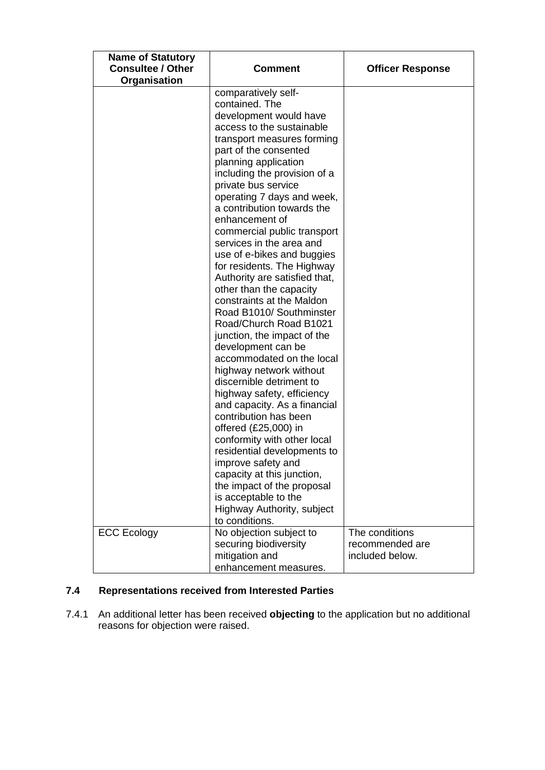| <b>Name of Statutory</b> |                               |                         |
|--------------------------|-------------------------------|-------------------------|
| <b>Consultee / Other</b> | <b>Comment</b>                | <b>Officer Response</b> |
| Organisation             |                               |                         |
|                          | comparatively self-           |                         |
|                          | contained. The                |                         |
|                          | development would have        |                         |
|                          | access to the sustainable     |                         |
|                          | transport measures forming    |                         |
|                          | part of the consented         |                         |
|                          | planning application          |                         |
|                          | including the provision of a  |                         |
|                          | private bus service           |                         |
|                          | operating 7 days and week,    |                         |
|                          | a contribution towards the    |                         |
|                          | enhancement of                |                         |
|                          | commercial public transport   |                         |
|                          | services in the area and      |                         |
|                          | use of e-bikes and buggies    |                         |
|                          | for residents. The Highway    |                         |
|                          | Authority are satisfied that, |                         |
|                          | other than the capacity       |                         |
|                          | constraints at the Maldon     |                         |
|                          | Road B1010/ Southminster      |                         |
|                          | Road/Church Road B1021        |                         |
|                          | junction, the impact of the   |                         |
|                          | development can be            |                         |
|                          | accommodated on the local     |                         |
|                          | highway network without       |                         |
|                          | discernible detriment to      |                         |
|                          | highway safety, efficiency    |                         |
|                          | and capacity. As a financial  |                         |
|                          | contribution has been         |                         |
|                          | offered (£25,000) in          |                         |
|                          | conformity with other local   |                         |
|                          | residential developments to   |                         |
|                          | improve safety and            |                         |
|                          | capacity at this junction,    |                         |
|                          | the impact of the proposal    |                         |
|                          | is acceptable to the          |                         |
|                          | Highway Authority, subject    |                         |
|                          | to conditions.                |                         |
| <b>ECC Ecology</b>       | No objection subject to       | The conditions          |
|                          | securing biodiversity         | recommended are         |
|                          | mitigation and                | included below.         |
|                          | enhancement measures.         |                         |

# **7.4 Representations received from Interested Parties**

7.4.1 An additional letter has been received **objecting** to the application but no additional reasons for objection were raised.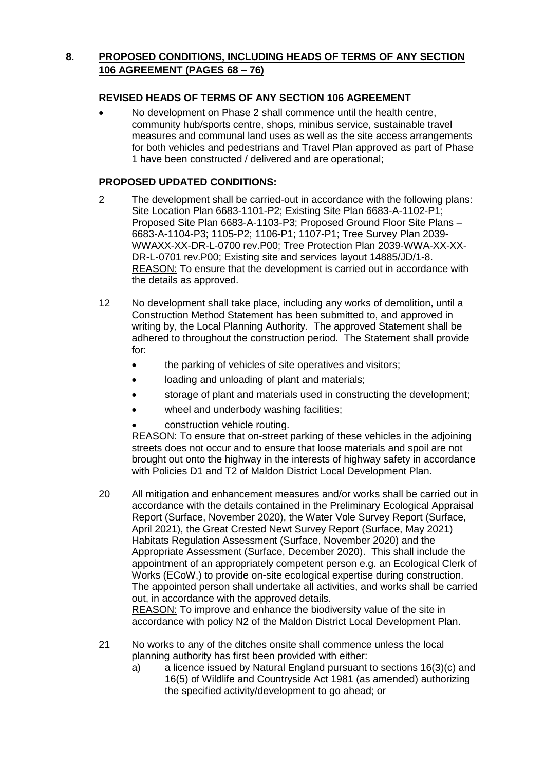## **8. PROPOSED CONDITIONS, INCLUDING HEADS OF TERMS OF ANY SECTION 106 AGREEMENT (PAGES 68 – 76)**

### **REVISED HEADS OF TERMS OF ANY SECTION 106 AGREEMENT**

 No development on Phase 2 shall commence until the health centre, community hub/sports centre, shops, minibus service, sustainable travel measures and communal land uses as well as the site access arrangements for both vehicles and pedestrians and Travel Plan approved as part of Phase 1 have been constructed / delivered and are operational;

#### **PROPOSED UPDATED CONDITIONS:**

- 2 The development shall be carried-out in accordance with the following plans: Site Location Plan 6683-1101-P2; Existing Site Plan 6683-A-1102-P1; Proposed Site Plan 6683-A-1103-P3; Proposed Ground Floor Site Plans – 6683-A-1104-P3; 1105-P2; 1106-P1; 1107-P1; Tree Survey Plan 2039- WWAXX-XX-DR-L-0700 rev.P00; Tree Protection Plan 2039-WWA-XX-XX-DR-L-0701 rev.P00; Existing site and services layout 14885/JD/1-8. REASON: To ensure that the development is carried out in accordance with the details as approved.
- 12 No development shall take place, including any works of demolition, until a Construction Method Statement has been submitted to, and approved in writing by, the Local Planning Authority. The approved Statement shall be adhered to throughout the construction period. The Statement shall provide for:
	- the parking of vehicles of site operatives and visitors;
	- loading and unloading of plant and materials;
	- storage of plant and materials used in constructing the development;
	- wheel and underbody washing facilities;
	- construction vehicle routing.

REASON: To ensure that on-street parking of these vehicles in the adjoining streets does not occur and to ensure that loose materials and spoil are not brought out onto the highway in the interests of highway safety in accordance with Policies D1 and T2 of Maldon District Local Development Plan.

- 20 All mitigation and enhancement measures and/or works shall be carried out in accordance with the details contained in the Preliminary Ecological Appraisal Report (Surface, November 2020), the Water Vole Survey Report (Surface, April 2021), the Great Crested Newt Survey Report (Surface, May 2021) Habitats Regulation Assessment (Surface, November 2020) and the Appropriate Assessment (Surface, December 2020). This shall include the appointment of an appropriately competent person e.g. an Ecological Clerk of Works (ECoW,) to provide on-site ecological expertise during construction. The appointed person shall undertake all activities, and works shall be carried out, in accordance with the approved details. REASON: To improve and enhance the biodiversity value of the site in accordance with policy N2 of the Maldon District Local Development Plan.
- 21 No works to any of the ditches onsite shall commence unless the local planning authority has first been provided with either:
	- a) a licence issued by Natural England pursuant to sections 16(3)(c) and 16(5) of Wildlife and Countryside Act 1981 (as amended) authorizing the specified activity/development to go ahead; or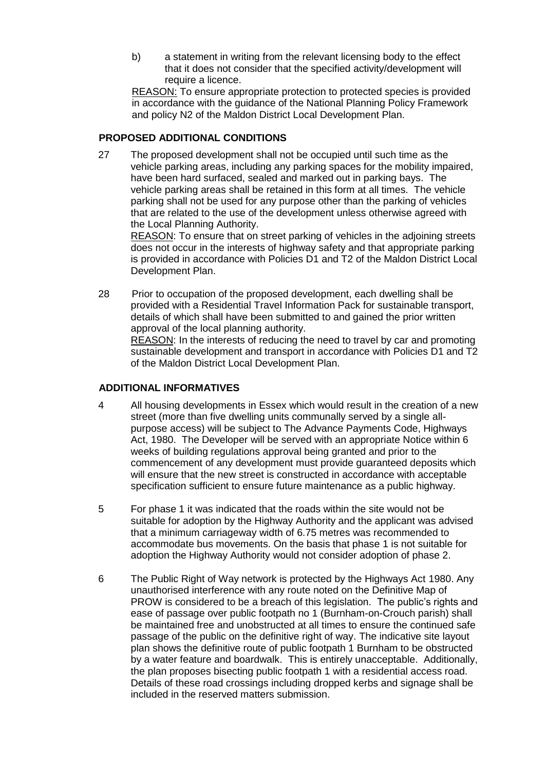b) a statement in writing from the relevant licensing body to the effect that it does not consider that the specified activity/development will require a licence.

REASON: To ensure appropriate protection to protected species is provided in accordance with the guidance of the National Planning Policy Framework and policy N2 of the Maldon District Local Development Plan.

#### **PROPOSED ADDITIONAL CONDITIONS**

27 The proposed development shall not be occupied until such time as the vehicle parking areas, including any parking spaces for the mobility impaired, have been hard surfaced, sealed and marked out in parking bays. The vehicle parking areas shall be retained in this form at all times. The vehicle parking shall not be used for any purpose other than the parking of vehicles that are related to the use of the development unless otherwise agreed with the Local Planning Authority.

REASON: To ensure that on street parking of vehicles in the adjoining streets does not occur in the interests of highway safety and that appropriate parking is provided in accordance with Policies D1 and T2 of the Maldon District Local Development Plan.

28 Prior to occupation of the proposed development, each dwelling shall be provided with a Residential Travel Information Pack for sustainable transport, details of which shall have been submitted to and gained the prior written approval of the local planning authority. REASON: In the interests of reducing the need to travel by car and promoting sustainable development and transport in accordance with Policies D1 and T2

of the Maldon District Local Development Plan.

## **ADDITIONAL INFORMATIVES**

- 4 All housing developments in Essex which would result in the creation of a new street (more than five dwelling units communally served by a single allpurpose access) will be subject to The Advance Payments Code, Highways Act, 1980. The Developer will be served with an appropriate Notice within 6 weeks of building regulations approval being granted and prior to the commencement of any development must provide guaranteed deposits which will ensure that the new street is constructed in accordance with acceptable specification sufficient to ensure future maintenance as a public highway.
- 5 For phase 1 it was indicated that the roads within the site would not be suitable for adoption by the Highway Authority and the applicant was advised that a minimum carriageway width of 6.75 metres was recommended to accommodate bus movements. On the basis that phase 1 is not suitable for adoption the Highway Authority would not consider adoption of phase 2.
- 6 The Public Right of Way network is protected by the Highways Act 1980. Any unauthorised interference with any route noted on the Definitive Map of PROW is considered to be a breach of this legislation. The public's rights and ease of passage over public footpath no 1 (Burnham-on-Crouch parish) shall be maintained free and unobstructed at all times to ensure the continued safe passage of the public on the definitive right of way. The indicative site layout plan shows the definitive route of public footpath 1 Burnham to be obstructed by a water feature and boardwalk. This is entirely unacceptable. Additionally, the plan proposes bisecting public footpath 1 with a residential access road. Details of these road crossings including dropped kerbs and signage shall be included in the reserved matters submission.